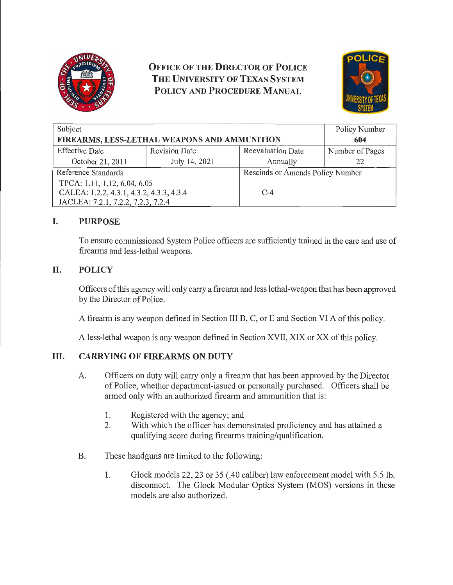

# **OFFICE OF THE DIRECTOR OF POLICE THE UNIVERSITY OF TEXAS SYSTEM POLICY AND PROCEDURE MANUAL**



| Subject<br>FIREARMS, LESS-LETHAL WEAPONS AND AMMUNITION |                      |                                  | Policy Number<br>604 |
|---------------------------------------------------------|----------------------|----------------------------------|----------------------|
|                                                         |                      |                                  |                      |
| <b>Effective Date</b>                                   | <b>Revision Date</b> | <b>Reevaluation Date</b>         | Number of Pages      |
| October 21, 2011                                        | July 14, 2021        | Annually                         | 22                   |
| Reference Standards                                     |                      | Rescinds or Amends Policy Number |                      |
| TPCA: 1.11, 1.12, 6.04, 6.05                            |                      |                                  |                      |
| CALEA: 1.2.2, 4.3.1, 4.3.2, 4.3.3, 4.3.4                |                      | $C-4$                            |                      |
| IACLEA: 7.2.1, 7.2.2, 7.2.3, 7.2.4                      |                      |                                  |                      |

# **I. PURPOSE**

To ensure commissioned System Police officers are sufficiently trained in the care and use of firearms and less-lethal weapons.

# **II. POLICY**

Officers of this agency will only carry a firearm and less lethal-weapon that has been approved by the Director of Police.

A firearm is any weapon defined in Section III B, C, or E and Section VI A of this policy.

A less-lethal weapon is any weapon defined in Section XVII, XIX or XX of this policy.

# **III. CARRYING OF FIREARMS ON DUTY**

- A. Officers on duty will carry only a firearm that has been approved by the Director of Police, whether department-issued or personally purchased. Officers shall be armed only with an authorized firearm and ammunition that is:
	- 1. Registered with the agency; and
	- 2. With which the officer has demonstrated proficiency and has attained a qualifying score during firearms training/qualification.
- B. These handguns are limited to the following:
	- 1. Glock models 22, 23 or 35 (.40 caliber) law enforcement model with 5.5 lb. disconnect. The Glock Modular Optics System (MOS) versions in these models are also authorized.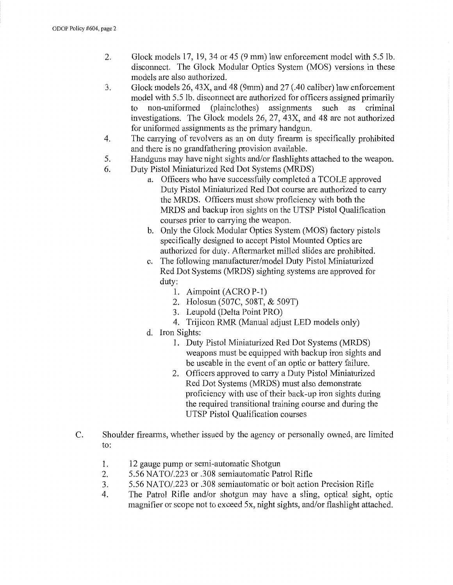- 2. Glock models 17, 19, 34 or 45 (9 mm) law enforcement model with 5.5 lb. disconnect. The Glock Modular Optics System (MOS) versions in these models are also authorized.
- 3. Glock models 26, 43X, and 48 (9mm) and 27 (.40 caliber) law enforcement model with 5.5 lb. disconnect are authorized for officers assigned primarily<br>to non-uniformed (plainclothes) assignments such as criminal to non-uniformed (plainclothes) assignments investigations. The Glock models 26, 27, 43X, and 48 are not authorized for uniformed assignments as the primary handgun.
- 4. The canying of revolvers as an on duty firearm is specifically prohibited and there is no grandfathering provision available.
- 5. Handguns may have night sights and/or flashlights attached to the weapon.
- 6. Duty Pistol Miniaturized Red Dot Systems (MRDS)
	- a. Officers who have successfully completed a TCOLE approved Duty Pistol Miniaturized Red Dot course are authorized to cany the MRDS. Officers must show proficiency with both the MRDS and backup iron sights on the UTSP Pistol Qualification courses prior to canying the weapon.
	- b. Only the Glock Modular Optics System (MOS) factory pistols specifically designed to accept Pistol Mounted Optics are authorized for duty. Aftermarket milled slides are prohibited.
	- c. The following manufacturer/model Duty Pistol Miniaturized Red Dot Systems (MRDS) sighting systems are approved for duty:
		- 1. Aimpoint (ACRO P-1)
		- 2. Holosun (507C, 508T, & 509T)
		- 3. Leupold (Delta Point PRO)
		- 4. Trijicon RMR (Manual adjust LED models only)
	- d. Iron Sights:
		- 1. Duty Pistol Miniaturized Red Dot Systems (MRDS) weapons must be equipped with backup iron sights and be useable in the event of an optic or battery failure.
		- 2. Officers approved to carry a Duty Pistol Miniaturized Red Dot Systems (MRDS) must also demonstrate proficiency with use of their back-up iron sights during the required transitional training course and during the UTSP Pistol Qualification courses
- C. Shoulder firearms, whether issued by the agency or personally owned, are limited to:
	- 1. 12 gauge pump or semi-automatic Shotgun
	- 2. 5.56 NATO/.223 or .308 semiautomatic Patrol Rifle
	- 3. 5.56 NATO/.223 or .308 semiautomatic or bolt action Precision Rifle
	- 4. The Patrol Rifle and/or shotgun may have a sling, optical sight, optic magnifier or scope not to exceed 5x, night sights, and/or flashlight attached.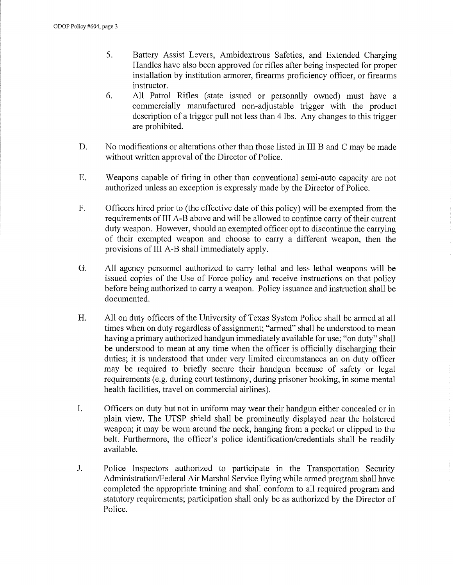- 5. Battery Assist Levers, Ambidextrous Safeties, and Extended Charging Handles have also been approved for rifles after being inspected for proper installation by institution armorer, firearms proficiency officer, or firearms instructor.
- 6. All Patrol Rifles (state issued or personally owned) must have a commercially manufactured non-adjustable trigger with the product description of a trigger pull not less than 4 lbs. Any changes to this trigger are prohibited.
- D. No modifications or alterations other than those listed in III B and C may be made without written approval of the Director of Police.
- E. Weapons capable of firing in other than conventional semi-auto capacity are not authorized unless an exception is expressly made by the Director of Police.
- F. Officers hired prior to (the effective date of this policy) will be exempted from the requirements of III A-B above and will be allowed to continue carry of their current duty weapon. However, should an exempted officer opt to discontinue the carrying of their exempted weapon and choose to carry a different weapon, then the provisions of III A-B shall immediately apply.
- G. All agency personnel authorized to carry lethal and less lethal weapons will be issued copies of the Use of Force policy and receive instructions on that policy before being authorized to cany a weapon. Policy issuance and instruction shall be documented.
- H. All on duty officers of the University of Texas System Police shall be armed at all times when on duty regardless of assignment; "armed" shall be understood to mean having a primary authorized handgun immediately available for use; "on duty" shall be understood to mean at any time when the officer is officially discharging their duties; it is understood that under very limited circumstances an on duty officer may be required to briefly secure their handgun because of safety or legal requirements (e.g. during court testimony, during prisoner booking, in some mental health facilities, travel on commercial airlines).
- I. Officers on duty but not in uniform may wear their handgun either concealed or in plain view. The UTSP shield shall be prominently displayed near the holstered weapon; it may be worn around the neck, hanging from a pocket or clipped to the belt. Furthermore, the officer's police identification/credentials shall be readily available.
- J. Police Inspectors authorized to participate in the Transportation Security Administration/Federal Air Marshal Service flying while armed program shall have completed the appropriate training and shall conform to all required program and statutory requirements; participation shall only be as authorized by the Director of Police.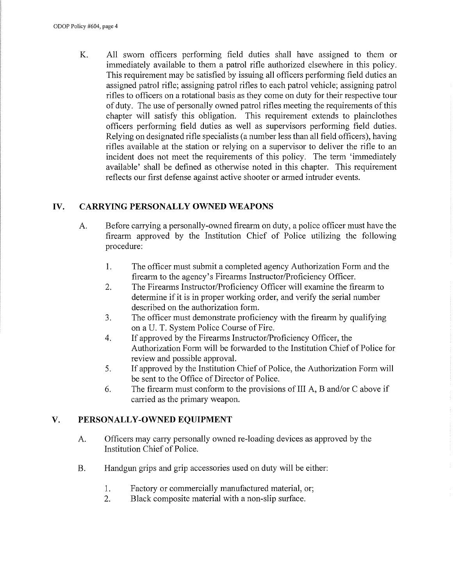K. All sworn officers performing field duties shall have assigned to them or immediately available to them a patrol rifle authorized elsewhere in this policy. This requirement may be satisfied by issuing all officers performing field duties an assigned patrol rifle; assigning patrol rifles to each patrol vehicle; assigning patrol rifles to officers on a rotational basis as they come on duty for their respective tour of duty. The use of personally owned patrol rifles meeting the requirements of this chapter will satisfy this obligation. This requirement extends to plainclothes officers performing field duties as well as supervisors performing field duties. Relying on designated rifle specialists (a number less than all field officers), having rifles available at the station or relying on a supervisor to deliver the rifle to an incident does not meet the requirements of this policy. The term 'immediately available' shall be defined as otherwise noted in this chapter. This requirement reflects our first defense against active shooter or armed intruder events.

# **IV. CARRYING PERSONALLY OWNED WEAPONS**

- A. Before carrying a personally-owned firearm on duty, a police officer must have the firearm approved by the Institution Chief of Police utilizing the following procedure:
	- 1. The officer must submit a completed agency Authorization Form and the firearm to the agency's Firearms Instructor/Proficiency Officer.
	- 2. The Firearms Instructor/Proficiency Officer will examine the firearm to determine if it is in proper working order, and verify the serial number described on the authorization form.
	- 3. The officer must demonstrate proficiency with the firearm by qualifying on a U. T. System Police Course of Fire.
	- 4. If approved by the Firearms Instructor/Proficiency Officer, the Authorization Form will be forwarded to the Institution Chief of Police for review and possible approval.
	- 5. If approved by the Institution Chief of Police, the Authorization Form will be sent to the Office of Director of Police.
	- 6. The firearm must conform to the provisions of III A, B and/or C above if carried as the primary weapon.

# **V. PERSONALLY-OWNED EQUIPMENT**

- A. Officers may carry personally owned re-loading devices as approved by the Institution Chief of Police.
- B. Handgun grips and grip accessories used on duty will be either:
	- 1. Factory or commercially manufactured material, or;
	- 2. Black composite material with a non-slip surface.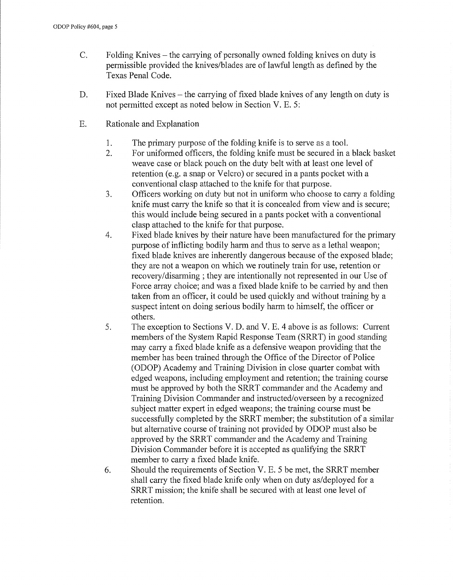- C. Folding Knives the carrying of personally owned folding knives on duty is permissible provided the knives/blades are of lawful length as defined by the Texas Penal Code.
- D. Fixed Blade Knives the carrying of fixed blade knives of any length on duty is not permitted except as noted below in Section V. E. 5:
- E. Rationale and Explanation
	- 1. The primary purpose of the folding knife is to serve as a tool.
	- 2. For uniformed officers, the folding knife must be secured in a black basket weave case or black pouch on the duty belt with at least one level of retention (e.g. a snap or Velcro) or secured in a pants pocket with a conventional clasp attached to the knife for that purpose.
	- 3. Officers working on duty but not in uniform who choose to carry a folding knife must carry the knife so that it is concealed from view and is secure; this would include being secured in a pants pocket with a conventional clasp attached to the knife for that purpose.
	- 4. Fixed blade knives by their nature have been manufactured for the primary purpose of inflicting bodily harm and thus to serve as a lethal weapon; fixed blade knives are inherently dangerous because of the exposed blade; they are not a weapon on which we routinely train for use, retention or recovery/disarming; they are intentionally not represented in our Use of Force array choice; and was a fixed blade knife to be carried by and then taken from an officer, it could be used quickly and without training by a suspect intent on doing serious bodily harm to himself, the officer or others.
	- 5. The exception to Sections V. D. and V. E. 4 above is as follows: Current members of the System Rapid Response Team (SRRT) in good standing may carry a fixed blade knife as a defensive weapon providing that the member has been trained through the Office of the Director of Police (ODOP) Academy and Training Division in close quarter combat with edged weapons, including employment and retention; the training course must be approved by both the SRRT commander and the Academy and Training Division Commander and instructed/overseen by a recognized subject matter expert in edged weapons; the training course must be successfully completed by the SRRT member; the substitution of a similar but alternative course of training not provided by ODOP must also be approved by the SRRT commander and the Academy and Training Division Commander before it is accepted as qualifying the SRRT member to cany a fixed blade knife.
	- 6. Should the requirements of Section V. E. 5 be met, the SRRT member shall carry the fixed blade knife only when on duty as/deployed for a SRRT mission; the knife shall be secured with at least one level of retention.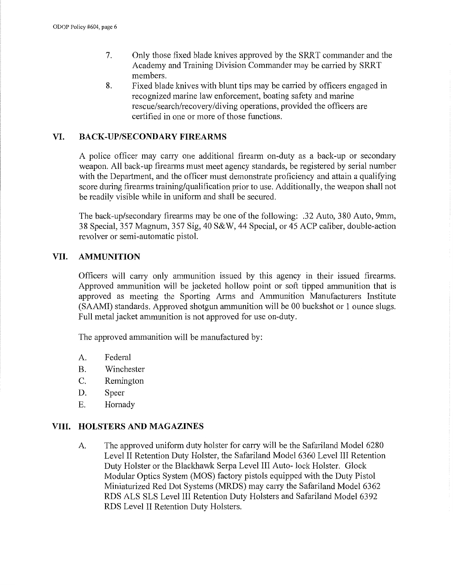- 7. Only those fixed blade knives approved by the SRRT commander and the Academy and Training Division Commander may be carried by SRRT members.
- 8. Fixed blade knives with blunt tips may be carried by officers engaged in recognized marine law enforcement, boating safety and marine rescue/search/recovery/diving operations, provided the officers are certified in one or more of those functions.

#### **VI. BACK-UP/SECONDARY FIREARMS**

A police officer may cany one additional firearm on-duty as a back-up or secondary weapon. All back-up firearms must meet agency standards, be registered by serial number with the Department, and the officer must demonstrate proficiency and attain a qualifying score during firearms training/qualification prior to use. Additionally, the weapon shall not be readily visible while in uniform and shall be secured.

The back-up/secondary firearms may be one of the following: .32 Auto, 380 Auto, 9mm, 38 Special, 357 Magnum, 357 Sig, 40 S&W, 44 Special, or 45 ACP caliber, double-action revolver or semi-automatic pistol.

#### **VII. AMMUNITION**

Officers will cany only ammunition issued by this agency in their issued firearms. Approved ammunition will be jacketed hollow point or soft tipped ammunition that is approved as meeting the Sporting Aims and Ammunition Manufacturers Institute (SAAMI) standards. Approved shotgun ammunition will be 00 buckshot or 1 ounce slugs. Full metal jacket ammunition is not approved for use on-duty.

The approved ammunition will be manufactured by:

- A. Federal
- B. Winchester
- C. Remington
- D. Speer
- E. Hornady

#### **VIII. HOLSTERS AND MAGAZINES**

A The approved uniform duty holster for cany will be the Safariland Model 6280 Level II Retention Duty Holster, the Safariland Model 6360 Level III Retention Duty Holster or the Blackhawk Serpa Level III Auto- lock Holster. Glock Modular Optics System (MOS) factory pistols equipped with the Duty Pistol Miniaturized Red Dot Systems (MRDS) may cany the Safariland Model 6362 RDS ALS SLS Level III Retention Duty Holsters and Safariland Model 6392 RDS Level II Retention Duty Holsters.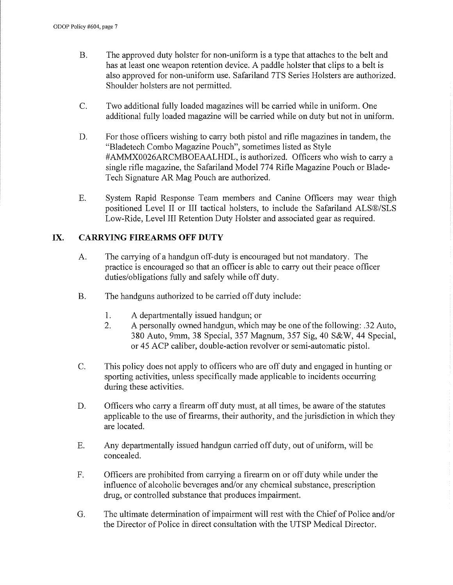- B. The approved duty holster for non-uniform is a type that attaches to the belt and has at least one weapon retention device. A paddle holster that clips to a belt is also approved for non-uniform use. Safariland 7TS Series Holsters are authorized. Shoulder holsters are not permitted.
- C. Two additional fully loaded magazines will be carried while in uniform. One additional fully loaded magazine will be carried while on duty but not in uniform.
- D. For those officers wishing to carry both pistol and rifle magazines in tandem, the "Bladetech Combo Magazine Pouch", sometimes listed as Style #AMMX0026ARCMBOEAALHDL, is authorized. Officers who wish to cany a single rifle magazine, the Safariland Model 774 Rifle Magazine Pouch or Blade-Tech Signature AR Mag Pouch are authorized.
- E. System Rapid Response Team members and Canine Officers may wear thigh positioned Level II or III tactical holsters, to include the Safariland ALS®/SLS Low-Ride, Level III Retention Duty Holster and associated gear as required.

# **IX. CARRYING FIREARMS OFF DUTY**

- A. The carrying of a handgun of f-duty is encouraged but not mandatory. The practice is encouraged so that an officer is able to cany out their peace officer duties/obligations fully and safely while off duty.
- B. The handguns authorized to be carried off duty include:
	- 1. A departmentally issued handgun; or
	- 2. A personally owned handgun, which may be one of the following: .32 Auto, 380 Auto, 9mm, 38 Special, 357 Magnum, 357 Sig, 40 S&W, 44 Special, or 45 ACP caliber, double-action revolver or semi-automatic pistol.
- C. This policy does not apply to officers who are off duty and engaged in hunting or sporting activities, unless specifically made applicable to incidents occurring during these activities.
- D. Officers who carry a firearm off duty must, at all times, be aware of the statutes applicable to the use of firearms, their authority, and the jurisdiction in which they are located.
- E. Any departmentally issued handgun carried off duty, out of uniform, will be concealed.
- F. Officers are prohibited from carrying a firearm on or off duty while under the influence of alcoholic beverages and/or any chemical substance, prescription drug, or controlled substance that produces impairment.
- G. The ultimate determination of impairment will rest with the Chief of Police and/or the Director of Police in direct consultation with the UTSP Medical Director.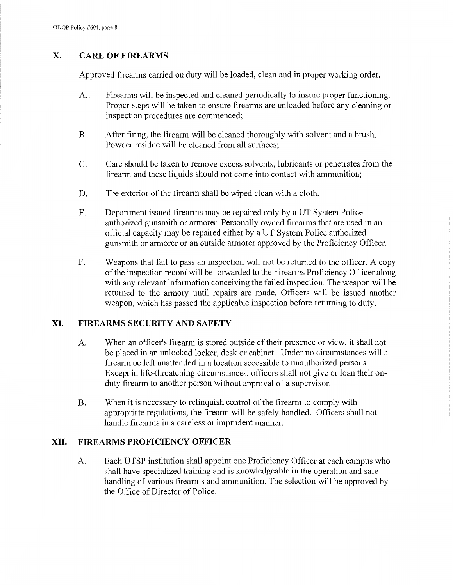# **X. CARE OF FIREARMS**

Approved firearms carried on duty will be loaded, clean and in proper working order.

- A. Firearms will be inspected and cleaned periodically to insure proper functioning. Proper steps will be taken to ensure firearms are unloaded before any cleaning or inspection procedures are commenced;
- B. After firing, the firearm will be cleaned thoroughly with solvent and a brush. Powder residue will be cleaned from all surfaces;
- C. Care should be taken to remove excess solvents, lubricants or penetrates from the firearm and these liquids should not come into contact with ammunition;
- D. The exterior of the firearm shall be wiped clean with a cloth.
- E. Department issued firearms may be repaired only by a UT System Police authorized gunsmith or armorer. Personally owned firearms that are used in an official capacity may be repaired either by a UT System Police authorized gunsmith or armorer or an outside armorer approved by the Proficiency Officer.
- F. Weapons that fail to pass an inspection will not be returned to the officer. A copy of the inspection record will be forwarded to the Firearms Proficiency Officer along with any relevant information conceiving the failed inspection. The weapon will be returned to the armory until repairs are made. Officers will be issued another weapon, which has passed the applicable inspection before returning to duty.

# **XI. FIREARMS SECURITY AND SAFETY**

- A. When an officer's firearm is stored outside of their presence or view, it shall not be placed in an unlocked locker, desk or cabinet. Under no circumstances will a firearm be left unattended in a location accessible to unauthorized persons. Except in life-threatening circumstances, officers shall not give or loan their onduty firearm to another person without approval of a supervisor.
- B. When it is necessary to relinquish control of the firearm to comply with appropriate regulations, the firearm will be safely handled. Officers shall not handle firearms in a careless or imprudent manner.

# **XII. FIREARMS PROFICIENCY OFFICER**

A. Each UTSP institution shall appoint one Proficiency Officer at each campus who shall have specialized training and is knowledgeable in the operation and safe handling of various firearms and ammunition. The selection will be approved by the Office of Director of Police.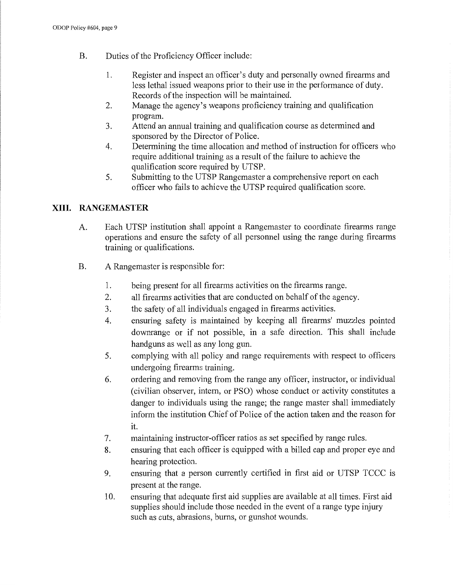- B. Duties of the Proficiency Officer include:
	- 1. Register and inspect an officer's duty and personally owned firearms and less lethal issued weapons prior to their use in the performance of duty. Records of the inspection will be maintained.
	- 2. Manage the agency's weapons proficiency training and qualification program.
	- 3. Attend an annual training and qualification course as determined and sponsored by the Director of Police.
	- 4. Determining the time allocation and method of instruction for officers who require additional training as a result of the failure to achieve the qualification score required by UTSP.
	- 5. Submitting to the UTSP Rangemaster a comprehensive report on each officer who fails to achieve the UTSP required qualification score.

#### **XIII. RANGEMASTER**

- A. Each UTSP institution shall appoint a Rangemaster to coordinate firearms range operations and ensure the safety of all personnel using the range during firearms training or qualifications.
- B. A Rangemaster is responsible for:
	- 1. being present for all firearms activities on the firearms range.
	- 2. all firearms activities that are conducted on behalf of the agency.
	- 3. the safety of all individuals engaged in firearms activities.
	- 4. ensuring safety is maintained by keeping all firearms' muzzles pointed dowmange or if not possible, in a safe direction. This shall include handguns as well as any long gun.
	- 5. complying with all policy and range requirements with respect to officers undergoing firearms training.
	- 6. ordering and removing from the range any officer, instructor, or individual ( civilian observer, intern, or PSO) whose conduct or activity constitutes a danger to individuals using the range; the range master shall immediately inform the institution Chief of Police of the action taken and the reason for it.
	- 7. maintaining instructor-officer ratios as set specified by range rules.
	- 8. ensuring that each officer is equipped with a billed cap and proper eye and hearing protection.
	- 9. ensuring that a person currently certified in first aid or UTSP TCCC is present at the range.
	- 10. ensuring that adequate first aid supplies are available at all times. First aid supplies should include those needed in the event of a range type injury such as cuts, abrasions, bums, or gunshot wounds.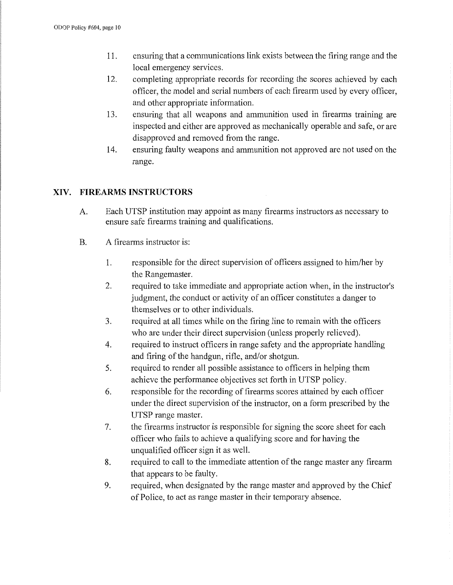- 11. ensuring that a communications link exists between the firing range and the local emergency services.
- 12. completing appropriate records for recording the scores achieved by each officer, the model and serial numbers of each firearm used by every officer, and other appropriate information.
- 13. ensuring that all weapons and ammunition used in firearms training are inspected and either are approved as mechanically operable and safe, or are disapproved and removed from the range.
- 14. ensuring faulty weapons and ammunition not approved are not used on the range.

# **XIV. FIREARMS INSTRUCTORS**

- A. Each UTSP institution may appoint as many firearms instructors as necessary to ensure safe firearms training and qualifications.
- B. A firearms instructor is:
	- 1. responsible for the direct supervision of officers assigned to him/her by the Rangemaster.
	- 2. required to take immediate and appropriate action when, in the instructor's judgment, the conduct or activity of an officer constitutes a danger to themselves or to other individuals.
	- 3. required at all times while on the firing line to remain with the officers who are under their direct supervision (unless properly relieved).
	- 4. required to instruct officers in range safety and the appropriate handling and firing of the handgun, rifle, and/or shotgun.
	- 5. required to render all possible assistance to officers in helping them achieve the performance objectives set forth in UTSP policy.
	- 6. responsible for the recording of firearms scores attained by each officer under the direct supervision of the instructor, on a form prescribed by the UTSP range master.
	- 7. the firearms instructor is responsible for signing the score sheet for each officer who fails to achieve a qualifying score and for having the unqualified officer sign it as well.
	- 8. required to call to the immediate attention of the range master any firearm that appears to be faulty.
	- 9. required, when designated by the range master and approved by the Chief of Police, to act as range master in their temporary absence.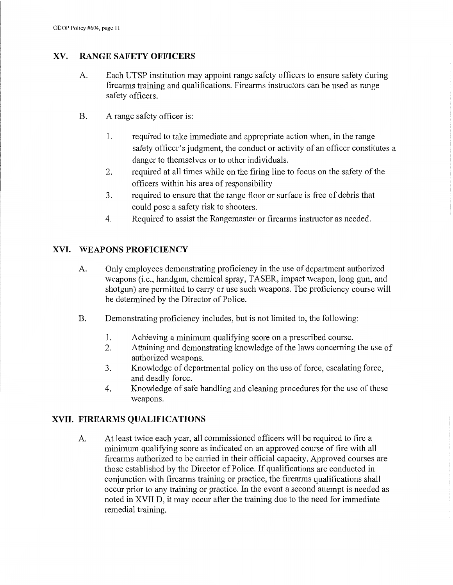#### **XV. RANGE SAFETY OFFICERS**

- A. Each UTSP institution may appoint range safety officers to ensure safety during firearms training and qualifications. Firearms instructors can be used as range safety officers.
- B. A range safety officer is:
	- 1. required to take immediate and appropriate action when, in the range safety officer's judgment, the conduct or activity of an officer constitutes a danger to themselves or to other individuals.
	- 2. required at all times while on the firing line to focus on the safety of the officers within his area of responsibility
	- 3. required to ensure that the range floor or surface is free of debris that could pose a safety risk to shooters.
	- 4. Required to assist the Rangemaster or firearms instructor as needed.

#### **XVI. WEAPONS PROFICIENCY**

- A. Only employees demonstrating proficiency in the use of department authorized weapons (i.e., handgun, chemical spray, TASER, impact weapon, long gun, and shotgun) are permitted to carry or use such weapons. The proficiency course will be determined by the Director of Police.
- B. Demonstrating proficiency includes, but is not limited to, the following:
	- 1. Achieving a minimum qualifying score on a prescribed course.
	- 2. Attaining and demonstrating knowledge of the laws concerning the use of authorized weapons.
	- 3. Knowledge of departmental policy on the use of force, escalating force, and deadly force.
	- 4. Knowledge of safe handling and cleaning procedures for the use of these weapons.

# **XVII. FIREARMS QUALIFICATIONS**

A. At least twice each year, all commissioned officers will be required to fire a minimum qualifying score as indicated on an approved course of fire with all firearms authorized to be carried in their official capacity. Approved courses are those established by the Director of Police. If qualifications are conducted in conjunction with firearms training or practice, the firearms qualifications shall occur prior to any training or practice. In the event a second attempt is needed as noted in XVII D, it may occur after the training due to the need for immediate remedial training.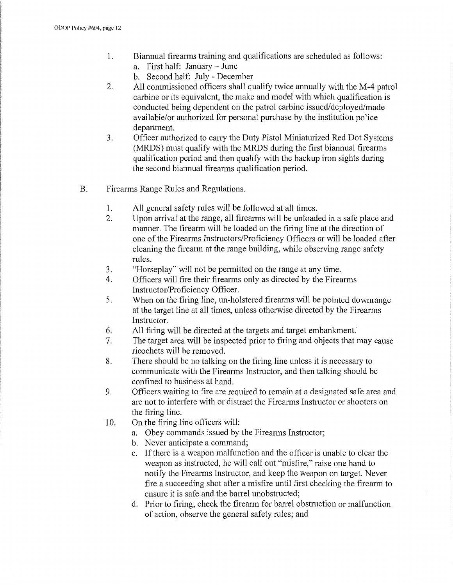- 1. Biannual firearms training and qualifications are scheduled as follows:
	- a. First half: January June
		- b. Second half: July December
- 2. All commissioned officers shall qualify twice annually with the M-4 patrol carbine or its equivalent, the make and model with which qualification is conducted being dependent on the patrol carbine issued/deployed/made available/or authorized for personal purchase by the institution police department.
- 3. Officer authorized to cany the Duty Pistol Miniaturized Red Dot Systems (MRDS) must qualify with the MRDS during the first biannual firearms qualification period and then qualify with the backup iron sights during the second biannual firearms qualification period.
- B. Firearms Range Rules and Regulations.
	- 1. All general safety rules will be followed at all times.
	- 2. Upon arrival at the range, all firearms will be unloaded in a safe place and manner. The firearm will be loaded on the firing line at the direction of one of the Firearms Instructors/Proficiency Officers or will be loaded after cleaning the firearm at the range building, while observing range safety rules.
	- 3. "Horseplay" will not be permitted on the range at any time.
	- 4. Officers will fire their firearms only as directed by the Firearms Instructor/Proficiency Officer.
	- 5. When on the firing line, un-holstered firearms will be pointed dowmange at the target line at all times, unless otherwise directed by the Firearms Instructor.
	- 6. All firing will be directed at the targets and target embankment.
	- 7. The target area will be inspected prior to firing and objects that may cause ricochets will be removed.
	- 8. There should be no talking on the firing line unless it is necessary to communicate with the Firearms Instructor, and then talking should be confined to business at hand.
	- 9. Officers waiting to fire are required to remain at a designated safe area and are not to interfere with or distract the Firearms Instructor or shooters on the firing line.
	- 10. On the firing line officers will:
		- a. Obey commands issued by the Firearms Instructor;
		- b. Never anticipate a command;
		- c. If there is a weapon malfunction and the officer is unable to clear the weapon as instructed, he will call out "misfire," raise one hand to notify the Firearms Instructor, and keep the weapon on target. Never fire a succeeding shot after a misfire until first checking the firearm to ensure it is safe and the barrel unobstructed;
		- d. Prior to firing, check the firearm for barrel obstruction or malfunction of action, observe the general safety rules; and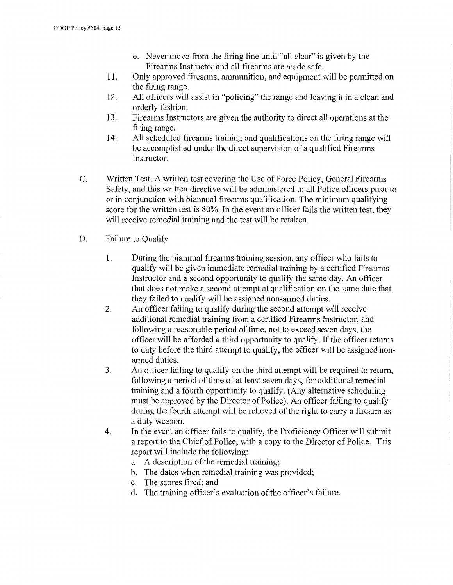- e. Never move from the firing line until "all clear" is given by the Firearms Instructor and all firearms are made safe.
- 11. Only approved firearms, ammunition, and equipment will be permitted on the firing range.
- 12. All officers will assist in "policing" the range and leaving it in a clean and orderly fashion.
- 13. Firearms Instructors are given the authority to direct all operations at the firing range.
- 14. All scheduled firearms training and qualifications on the firing range will be accomplished under the direct supervision of a qualified Firearms Instructor.
- C. Written Test. A written test covering the Use of Force Policy, General Firearms Safety, and this written directive will be administered to all Police officers prior to or in conjunction with biannual firearms qualification. The minimum qualifying score for the written test is 80%. In the event an officer fails the written test, they will receive remedial training and the test will be retaken.
- D. Failure to Qualify
	- 1. During the biannual firearms training session, any officer who fails to qualify will be given immediate remedial training by a certified Firearms Instructor and a second oppotiunity to qualify the same day. An officer that does not make a second attempt at qualification on the same date that they failed to qualify will be assigned non-armed duties.
	- 2. An officer failing to qualify during the second attempt will receive additional remedial training from a certified Firearms Instructor, and following a reasonable period of time, not to exceed seven days, the officer will be afforded a third opportunity to qualify. If the officer returns to duty before the third attempt to qualify, the officer will be assigned nonarmed duties.
	- 3. An officer failing to qualify on the third attempt will be required to return, following a period of time of at least seven days, for additional remedial training and a fourth oppotiunity to qualify. (Any alternative scheduling must be approved by the Director of Police). An officer failing to qualify during the fourth attempt will be relieved of the right to carry a firearm as a duty weapon.
	- 4. In the event an officer fails to qualify, the Proficiency Officer will submit a report to the Chief of Police, with a copy to the Director of Police. This report will include the following:
		- a. A description of the remedial training;
		- b. The dates when remedial training was provided;
		- c. The scores fired; and
		- d. The training officer's evaluation of the officer's failure.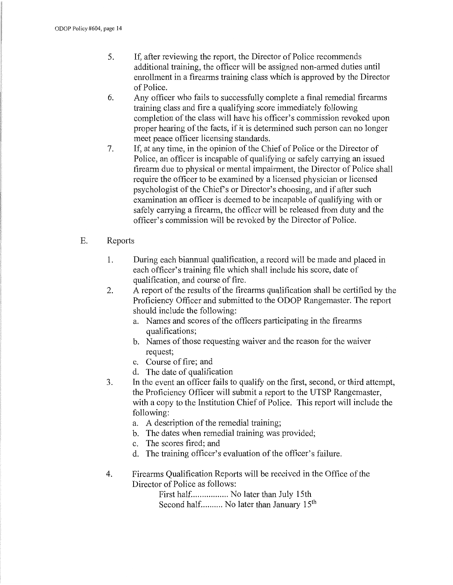- 5. If, after reviewing the report, the Director of Police recommends additional training, the officer will be assigned non-armed duties until emollment in a firearms training class which is approved by the Director of Police.
- 6. Any officer who fails to successfully complete a final remedial firearms training class and fire a qualifying score immediately following completion of the class will have his officer's commission revoked upon proper hearing of the facts, if it is determined such person can no longer meet peace officer licensing standards.
- 7. If, at any time, in the opinion of the Chief of Police or the Director of Police, an officer is incapable of qualifying or safely carrying an issued firearm due to physical or mental impairment, the Director of Police shall require the officer to be examined by a licensed physician or licensed psychologist of the Chief's or Director's choosing, and if after such examination an officer is deemed to be incapable of qualifying with or safely canying a firearm, the officer will be released from duty and the officer's commission will be revoked by the Director of Police.

#### E. Reports

- 1. During each biannual qualification, a record will be made and placed in each officer's training file which shall include his score, date of qualification, and course of fire.
- 2. A report of the results of the firearms qualification shall be certified by the Proficiency Officer and submitted to the ODOP Rangemaster. The report should include the following:
	- a. Names and scores of the officers participating in the firearms qualifications;
	- b. Names of those requesting waiver and the reason for the waiver request;
	- c. Course of fire; and
	- d. The date of qualification
- 3. In the event an officer fails to qualify on the first, second, or third attempt, the Proficiency Officer will submit a report to the UTSP Rangemaster, with a copy to the Institution Chief of Police. This report will include the following:
	- a. A description of the remedial training;
	- b. The dates when remedial training was provided;
	- c. The scores fired; and
	- d. The training officer's evaluation of the officer's failure.
- 4. Firearms Qualification Reports will be received in the Office of the Director of Police as follows:

First half.................. No later than July 15th Second half.......... No later than January 15<sup>th</sup>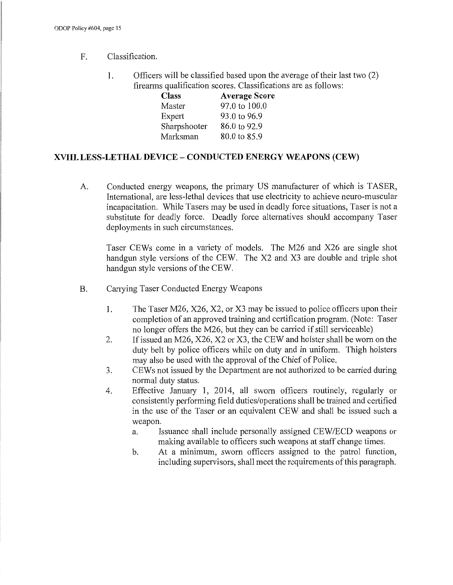#### F. Classification.

1. Officers will be classified based upon the average of their last two (2) firearms qualification scores. Classifications are as follows:

| <b>Class</b> | <b>Average Score</b> |
|--------------|----------------------|
| Master       | 97.0 to 100.0        |
| Expert       | 93.0 to 96.9         |
| Sharpshooter | 86.0 to 92.9         |
| Marksman     | 80.0 to 85.9         |

#### **XVIII. LESS-LETHAL DEVICE - CONDUCTED ENERGY WEAPONS (CEW)**

A. Conducted energy weapons, the primary US manufacturer of which is TASER, International, are less-lethal devices that use electricity to achieve neuro-muscular incapacitation. While Tasers may be used in deadly force situations, Taser is not a substitute for deadly force. Deadly force alternatives should accompany Taser deployments in such circumstances.

Taser CEWs come in a variety of models. The M26 and X26 are single shot handgun style versions of the CEW. The X2 and X3 are double and triple shot handgun style versions of the CEW.

- B. Carrying Taser Conducted Energy Weapons
	- 1. The Taser M26, X26, X2, or X3 may be issued to police officers upon their completion of an approved training and certification program. (Note: Taser no longer offers the M26, but they can be carried if still serviceable)
	- 2. If issued an M26, X26, X2 or X3, the CEW and holster shall be worn on the duty belt by police officers while on duty and in uniform. Thigh holsters may also be used with the approval of the Chief of Police.
	- 3. CEW s not issued by the Department are not authorized to be carried during normal duty status.
	- 4. Effective January 1, 2014, all sworn officers routinely, regularly or consistently performing field duties/operations shall be trained and certified in the use of the Taser or an equivalent CEW and shall be issued such a weapon.
		- a. Issuance shall include personally assigned CEW /ECD weapons or making available to officers such weapons at staff change times.
		- b. At a minimum, sworn officers assigned to the patrol function, including supervisors, shall meet the requirements of this paragraph.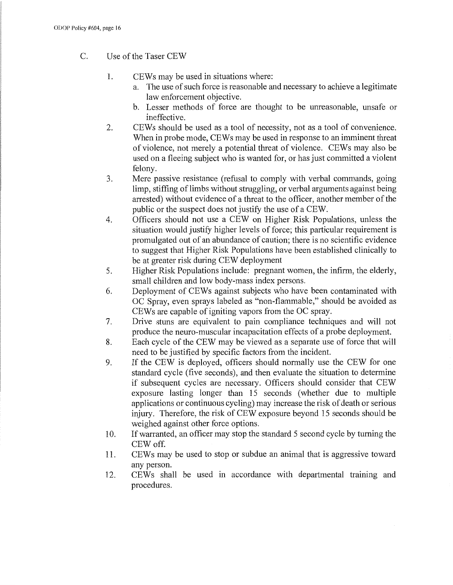- C. Use of the Taser CEW
	- 1. CEWs may be used in situations where:
		- a. The use of such force is reasonable and necessary to achieve a legitimate law enforcement objective.
		- b. Lesser methods of force are thought to be umeasonable, unsafe or ineffective.
	- 2. CEWs should be used as a tool of necessity, not as a tool of convenience. When in probe mode, CEWs may be used in response to an imminent threat of violence, not merely a potential threat of violence. CEWs may also be used on a fleeing subject who is wanted for, or has just committed a violent felony.
	- 3. Mere passive resistance (refusal to comply with verbal commands, going limp, stiffing of limbs without struggling, or verbal arguments against being arrested) without evidence of a threat to the officer, another member of the public or the suspect does not justify the use of a CEW.
	- 4. Officers should not use a CEW on Higher Risk Populations, unless the situation would justify higher levels of force; this particular requirement is promulgated out of an abundance of caution; there is no scientific evidence to suggest that Higher Risk Populations have been established clinically to be at greater risk during CEW deployment
	- 5. Higher Risk Populations include: pregnant women, the infirm, the elderly, small children and low body-mass index persons.
	- 6. Deployment of CEWs against subjects who have been contaminated with OC Spray, even sprays labeled as "non-flammable," should be avoided as CEWs are capable of igniting vapors from the OC spray.
	- 7. Drive stuns are equivalent to pain compliance techniques and will not produce the neuro-muscular incapacitation effects of a probe deployment.
	- 8. Each cycle of the CEW may be viewed as a separate use of force that will need to be justified by specific factors from the incident.
	- 9. If the CEW is deployed, officers should normally use the CEW for one standard cycle (five seconds), and then evaluate the situation to determine if subsequent cycles are necessary. Officers should consider that CEW exposure lasting longer than 15 seconds (whether due to multiple applications or continuous cycling) may increase the risk of death or serious injury. Therefore, the risk of CEW exposure beyond 15 seconds should be weighed against other force options.
	- 10. If warranted, an officer may stop the standard 5 second cycle by turning the CEWoff.
	- 11. CEWs may be used to stop or subdue an animal that is aggressive toward any person.
	- 12. CEWs shall be used in accordance with departmental training and procedures.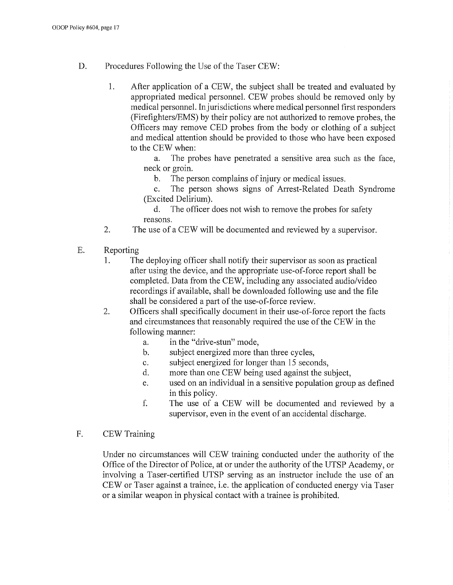- D. Procedures Following the Use of the Taser CEW:
	- 1. After application of a CEW, the subject shall be treated and evaluated by appropriated medical personnel. CEW probes should be removed only by medical personnel. In jurisdictions where medical personnel first responders (Firefighters/EMS) by their policy are not authorized to remove probes, the Officers may remove CED probes from the body or clothing of a subject and medical attention should be provided to those who have been exposed to the CEW when:

a. The probes have penetrated a sensitive area such as the face, neck or groin.

b. The person complains of injury or medical issues.

c. The person shows signs of Arrest-Related Death Syndrome (Excited Delirium).

d. The officer does not wish to remove the probes for safety reasons.

- 2. The use of a CEW will be documented and reviewed by a supervisor.
- E. Reporting
	- 1. The deploying officer shall notify their supervisor as soon as practical after using the device, and the appropriate use-of-force report shall be completed. Data from the CEW, including any associated audio/video recordings if available, shall be downloaded following use and the file shall be considered a part of the use-of-force review.
	- 2. Officers shall specifically document in their use-of-force report the facts and circumstances that reasonably required the use of the CEW in the following manner:
		- a. in the "drive-stun" mode,
		- b. subject energized more than three cycles,
		- c. subject energized for longer than 15 seconds,
		- d. more than one CEW being used against the subject,
		- e. used on an individual in a sensitive population group as defined in this policy.
		- f. The use of a CEW will be documented and reviewed by a supervisor, even in the event of an accidental discharge.
- F. CEW Training

Under no circumstances will CEW training conducted under the authority of the Office of the Director of Police, at or under the authority of the UTSP Academy, or involving a Taser-certified UTSP serving as an instructor include the use of an CEW or Taser against a trainee, i.e. the application of conducted energy via Taser or a similar weapon in physical contact with a trainee is prohibited.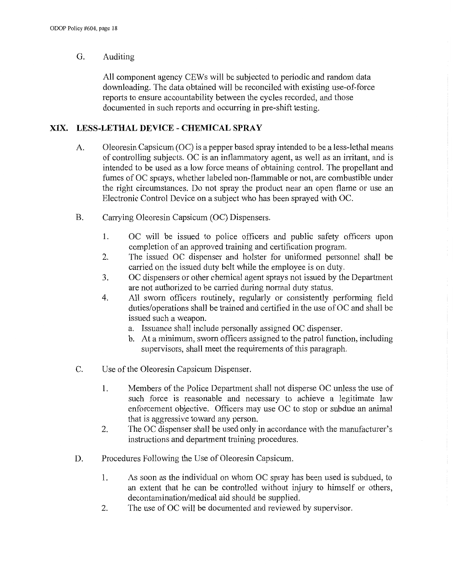#### G. Auditing

All component agency CEWs will be subjected to periodic and random data downloading. The data obtained will be reconciled with existing use-of-force reports to ensure accountability between the cycles recorded, and those documented in such reports and occurring in pre-shift testing.

#### **XIX. LESS-LETHAL DEVICE - CHEMICAL SPRAY**

- A. Oleoresin Capsicum (OC) is a pepper based spray intended to be a less-lethal means of controlling subjects. OC is an inflammatory agent, as well as an irritant, and is intended to be used as a low force means of obtaining control. The propellant and fumes of OC sprays, whether labeled non-flammable or not, are combustible under the right circumstances. Do not spray the product near an open flame or use an Electronic Control Device on a subject who has been sprayed with OC.
- B. Carrying Oleoresin Capsicum (OC) Dispensers.
	- 1. OC will be issued to police officers and public safety officers upon completion of an approved training and certification program.
	- 2. The issued OC dispenser and holster for uniformed personnel shall be carried on the issued duty belt while the employee is on duty.
	- 3. OC dispensers or other chemical agent sprays not issued by the Department are not authorized to be carried during normal duty status.
	- 4. All sworn officers routinely, regularly or consistently performing field duties/operations shall be trained and certified in the use of OC and shall be issued such a weapon.
		- a. Issuance shall include personally assigned OC dispenser.
		- b. At a minimum, sworn officers assigned to the patrol function, including supervisors, shall meet the requirements of this paragraph.
- C. Use of the Oleoresin Capsicum Dispenser.
	- 1. Members of the Police Department shall not disperse OC unless the use of such force is reasonable and necessary to achieve a legitimate law enforcement objective. Officers may use OC to stop or subdue an animal that is aggressive toward any person.
	- 2. The OC dispenser shall be used only in accordance with the manufacturer's instructions and department training procedures.
- D. Procedures Following the Use of Oleoresin Capsicum.
	- 1. As soon as the individual on whom OC spray has been used is subdued, to an extent that he can be controlled without injury to himself or others, decontamination/medical aid should be supplied.
	- 2. The use of OC will be documented and reviewed by supervisor.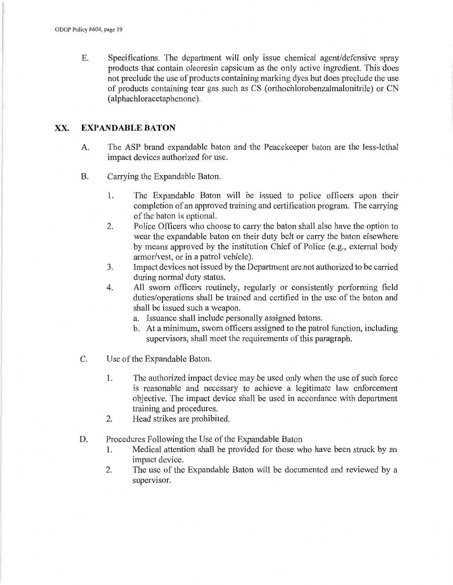E. Specifications. The department will only issue chemical agent/defensive spray products that contain oleoresin capsicum as the only active ingredient. This does not preclude the use of products containing marking dyes but does preclude the use of products containing tear gas such as CS ( orthochlorobenzalmalonitrile) or CN ( alphachloracetaphenone ).

#### XX. **EXPANDABLE BATON**

- A. The ASP brand expandable baton and the Peacekeeper baton are the less-lethal impact devices authorized for use.
- B. Carrying the Expandable Baton.
	- 1. The Expandable Baton will be issued to police officers upon their completion of an approved training and certification program. The carrying of the baton is optional.
	- 2. Police Officers who choose to carry the baton shall also have the option to wear the expandable baton on their duty belt or carry the baton elsewhere by means approved by the institution Chief of Police (e.g., external body armor/vest, or in a patrol vehicle).
	- 3. Impact devices not issued by the Department are not authorized to be carried during normal duty status.
	- 4. All sworn officers routinely, regularly or consistently performing field duties/operations shall be trained and certified in the use of the baton and shall be issued such a weapon.
		- a. Issuance shall include personally assigned batons.
		- b. At a minimum, sworn officers assigned to the patrol function, including supervisors, shall meet the requirements of this paragraph.
- C. Use of the Expandable Baton.
	- 1. The authorized impact device may be used only when the use of such force is reasonable and necessary to achieve a legitimate law enforcement objective. The impact device shall be used in accordance with department training and procedures.
	- 2. Head strikes are prohibited.
- D. Procedures Following the Use of the Expandable Baton
	- 1. Medical attention shall be provided for those who have been struck by an impact device.
	- 2. The use of the Expandable Baton will be documented and reviewed by a supervisor.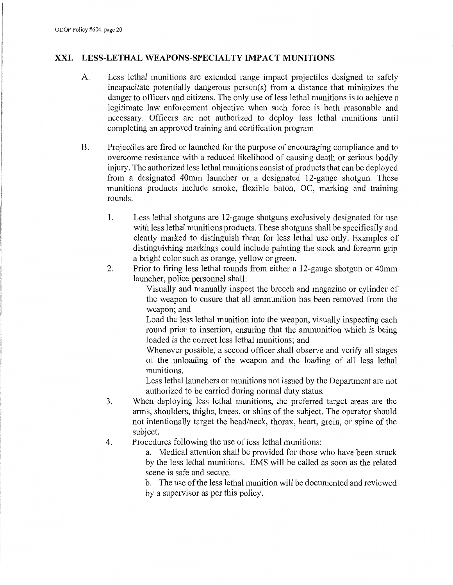#### **XXI. LESS-LETHAL WEAPONS-SPECIALTY IMP ACT MUNITIONS**

- A. Less lethal munitions are extended range impact projectiles designed to safely incapacitate potentially dangerous person(s) from a distance that minimizes the danger to officers and citizens. The only use of less lethal munitions is to achieve a legitimate law enforcement objective when such force is both reasonable and necessary. Officers are not authorized to deploy less lethal munitions until completing an approved training and certification program
- B. Projectiles are fired or launched for the purpose of encouraging compliance and to overcome resistance with a reduced likelihood of causing death or serious bodily injury. The authorized less lethal munitions consist of products that can be deployed from a designated 40mm launcher or a designated 12-gauge shotgun. These munitions products include smoke, flexible baton, OC, marking and training rounds.
	- 1. Less lethal shotguns are 12-gauge shotguns exclusively designated for use with less lethal munitions products. These shotguns shall be specifically and clearly marked to distinguish them for less lethal use only. Examples of distinguishing markings could include painting the stock and forearm grip a bright color such as orange, yellow or green.
	- 2. Prior to firing less lethal rounds from either a 12-gauge shotgun or 40mm launcher, police personnel shall:

Visually and manually inspect the breech and magazine or cylinder of the weapon to ensure that all ammunition has been removed from the weapon; and

Load the less lethal munition into the weapon, visually inspecting each round prior to insertion, ensuring that the ammunition which is being loaded is the correct less lethal munitions; and

Whenever possible, a second officer shall observe and verify all stages of the unloading of the weapon and the loading of all less lethal munitions.

Less lethal launchers or munitions not issued by the Department are not authorized to be carried during normal duty status.

- 3. When deploying less lethal munitions, the prefened target areas are the arms, shoulders, thighs, knees, or shins of the subject. The operator should not intentionally target the head/neck, thorax, heart, groin, or spine of the subject.
- 4. Procedures following the use of less lethal munitions:

a. Medical attention shall be provided for those who have been struck by the less lethal munitions. EMS will be called as soon as the related scene is safe and secure.

b. The use of the less lethal munition will be documented and reviewed by a supervisor as per this policy.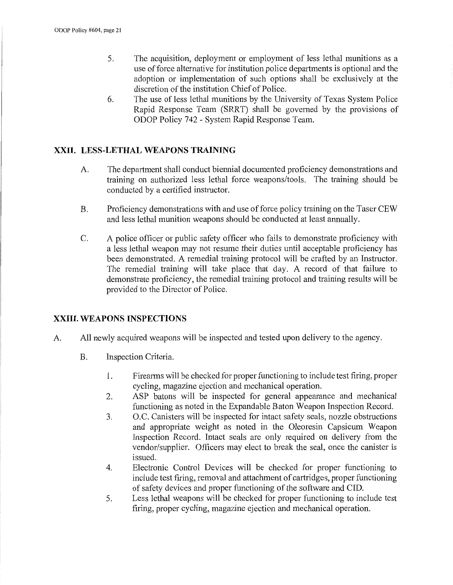- 5. The acquisition, deployment or employment of less lethal munitions as a use of force alternative for institution police departments is optional and the adoption or implementation of such options shall be exclusively at the discretion of the institution Chief of Police.
- 6. The use of less lethal munitions by the University of Texas System Police Rapid Response Team (SRRT) shall be governed by the provisions of ODOP Policy 742 - System Rapid Response Team.

#### **XXII. LESS-LETHAL WEAPONS TRAINING**

- A. The department shall conduct biennial documented proficiency demonstrations and training on authorized less lethal force weapons/tools. The training should be conducted by a certified instructor.
- B. Proficiency demonstrations with and use of force policy training on the Taser CEW and less lethal munition weapons should be conducted at least annually.
- C. A police officer or public safety officer who fails to demonstrate proficiency with a less lethal weapon may not resume their duties until acceptable proficiency has been demonstrated. A remedial training protocol will be crafted by an Instructor. The remedial training will take place that day. A record of that failure to demonstrate proficiency, the remedial training protocol and training results will be provided to the Director of Police.

#### **XXIII. WEAPONS INSPECTIONS**

- A. All newly acquired weapons will be inspected and tested upon delivery to the agency.
	- B. Inspection Criteria.
		- 1. Firearms will be checked for proper functioning to include test firing, proper cycling, magazine ejection and mechanical operation.
		- 2. ASP batons will be inspected for general appearance and mechanical functioning as noted in the Expandable Baton Weapon Inspection Record.
		- 3. O.C. Canisters will be inspected for intact safety seals, nozzle obstructions and appropriate weight as noted in the Oleoresin Capsicum Weapon Inspection Record. Intact seals are only required on delivery from the vendor/supplier. Officers may elect to break the seal, once the canister is issued.
		- 4. Electronic Control Devices will be checked for proper functioning to include test firing, removal and attachment of cartridges, proper functioning of safety devices and proper functioning of the software and CID.
		- 5. Less lethal weapons will be checked for proper functioning to include test firing, proper cycling, magazine ejection and mechanical operation.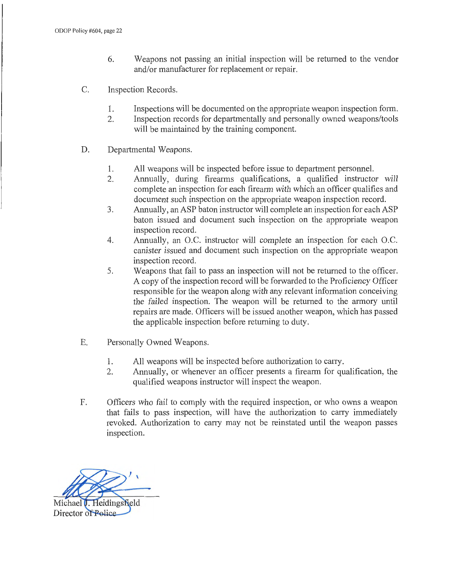- 6. Weapons not passing an initial inspection will be returned to the vendor and/or manufacturer for replacement or repair.
- C. Inspection Records.
	- 1. Inspections will be documented on the appropriate weapon inspection form.
	- 2. Inspection records for departmentally and personally owned weapons/tools will be maintained by the training component.
- D. Departmental Weapons.
	- 1. All weapons will be inspected before issue to department personnel.
	- 2. Annually, during firearms qualifications, a qualified instructor will complete an inspection for each firearm with which an officer qualifies and document such inspection on the appropriate weapon inspection record.
	- 3. Annually, an ASP baton instructor will complete an inspection for each ASP baton issued and document such inspection on the appropriate weapon inspection record.
	- 4. Annually, an O.C. instructor will complete an inspection for each O.C. canister issued and document such inspection on the appropriate weapon inspection record.
	- 5. Weapons that fail to pass an inspection will not be returned to the officer. A copy of the inspection record will be forwarded to the Proficiency Officer responsible for the weapon along with any relevant information conceiving the failed inspection. The weapon will be returned to the armory until repairs are made. Officers will be issued another weapon, which has passed the applicable inspection before returning to duty.
- E. Personally Owned Weapons.
	- 1. All weapons will be inspected before authorization to cany.
	- 2. Annually, or whenever an officer presents a firearm for qualification, the qualified weapons instructor will inspect the weapon.
- F. Officers who fail to comply with the required inspection, or who owns a weapon that fails to pass inspection, will have the authorization to carry immediately revoked. Authorization to cany may not be reinstated until the weapon passes inspection.

Michael J. Heidingsfield

Director of Police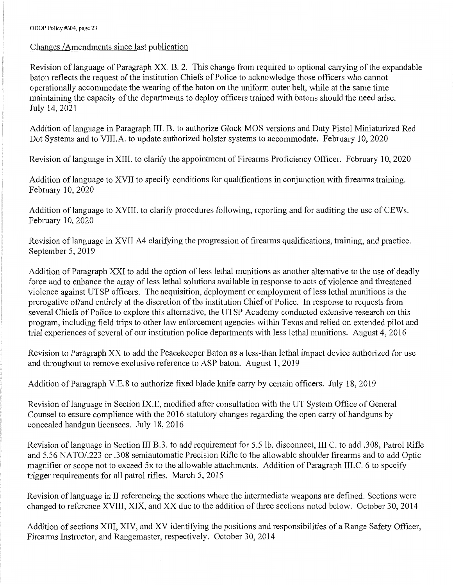#### Changes / Amendments since last publication

Revision of language of Paragraph XX. B. 2. This change from required to optional carrying of the expandable baton reflects the request of the institution Chiefs of Police to acknowledge those officers who cannot operationally accommodate the wearing of the baton on the uniform outer belt, while at the same time maintaining the capacity of the departments to deploy officers trained with batons should the need arise. July 14, 2021

Addition of language in Paragraph III. B. to authorize Glock MOS versions and Duty Pistol Miniaturized Red Dot Systems and to VIII.A. to update authorized holster systems to accommodate. February 10, 2020

Revision of language in XIII. to clarify the appointment of Firearms Proficiency Officer. February 10, 2020

Addition of language to XVII to specify conditions for qualifications in conjunction with firearms training. Februaiy 10, 2020

Addition of language to XVIII. to clarify procedures following, reporting and for auditing the use of CEWs. February 10, 2020

Revision of language in XVII A4 clarifying the progression of firearms qualifications, training, and practice. September 5, 2019

Addition of Paragraph XXI to add the option of less lethal munitions as another alternative to the use of deadly force and to enhance the array of less lethal solutions available in response to acts of violence and threatened violence against UTSP officers. The acquisition, deployment or employment of less lethal munitions is the prerogative of/and entirely at the discretion of the institution Chief of Police. In response to requests from several Chiefs of Police to explore this alternative, the UTSP Academy conducted extensive research on this program, including field trips to other law enforcement agencies within Texas and relied on extended pilot and trial experiences of several of our institution police departments with less lethal munitions. August 4, 2016

Revision to Paragraph XX to add the Peacekeeper Baton as a less-than lethal impact device authorized for use and throughout to remove exclusive reference to ASP baton. August 1, 2019

Addition of Paragraph V.E.8 to authorize fixed blade knife cany by certain officers. July 18, 2019

Revision of language in Section IX.E, modified after consultation with the UT System Office of General Counsel to ensure compliance with the 2016 statutory changes regarding the open carry of handguns by concealed handgun licensees. July 18, 2016

Revision of language in Section III B.3. to add requirement for 5.5 lb. disconnect, III C. to add .308, Patrol Rifle and 5.56 NATO/.223 or .308 semiautomatic Precision Rifle to the allowable shoulder firearms and to add Optic magnifier or scope not to exceed 5x to the allowable attachments. Addition of Paragraph III.C. 6 to specify trigger requirements for all patrol rifles. March 5, 2015

Revision of language in II referencing the sections where the intermediate weapons are defined. Sections were changed to reference XVIII, XIX, and XX due to the addition of three sections noted below. October 30, 2014

Addition of sections XIII, XIV, and XV identifying the positions and responsibilities of a Range Safety Officer, Firearms Instructor, and Rangemaster, respectively. October 30, 2014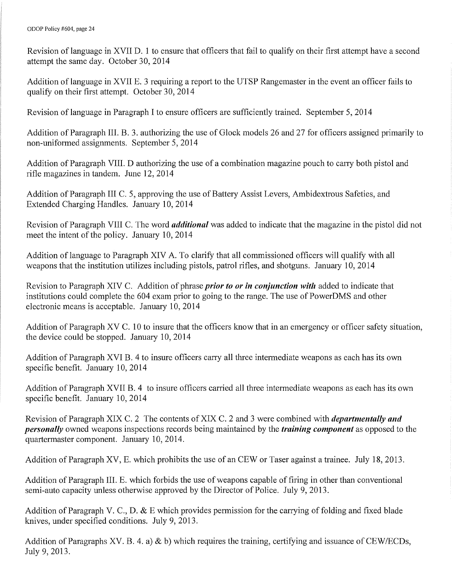Revision of language in XVII D. 1 to ensure that officers that fail to qualify on their first attempt have a second attempt the same day. October 30, 2014

Addition of language in XVII E. 3 requiring a report to the UTSP Rangemaster in the event an officer fails to qualify on their first attempt. October 30, 2014

Revision oflanguage in Paragraph I to ensure officers are sufficiently trained. September 5, 2014

Addition of Paragraph III. B. 3. authorizing the use of Glock models 26 and 27 for officers assigned primarily to non-uniformed assignments. September 5, 2014

Addition of Paragraph VIII. D authorizing the use of a combination magazine pouch to carry both pistol and rifle magazines in tandem. June 12, 2014

Addition of Paragraph III C. 5, approving the use of Battery Assist Levers, Ambidextrous Safeties, and Extended Charging Handles. January 10, 2014

Revision of Paragraph VIII C. The word *additional* was added to indicate that the magazine in the pistol did not meet the intent of the policy. January 10, 2014

Addition of language to Paragraph XIV A. To clarify that all commissioned officers will qualify with all weapons that the institution utilizes including pistols, patrol rifles, and shotguns. January 10, 2014

Revision to Paragraph XIV C. Addition of phrase *prior to or in conjunction with* added to indicate that institutions could complete the 604 exam prior to going to the range. The use of PowerDMS and other electronic means is acceptable. January 10, 2014

Addition of Paragraph XV C. 10 to insure that the officers know that in an emergency or officer safety situation, the device could be stopped. January 10, 2014

Addition of Paragraph XVI B. 4 to insure officers cany all three intermediate weapons as each has its own specific benefit. January 10, 2014

Addition of Paragraph XVII B. 4 to insure officers carried all three intermediate weapons as each has its own specific benefit. January 10, 2014

Revision of Paragraph XIX C. 2 The contents of XIX C. 2 and 3 were combined with *departmentally and personally* owned weapons inspections records being maintained by the *training component* as opposed to the quartermaster component. January 10, 2014.

Addition of Paragraph XV, E. which prohibits the use of an CEW or Taser against a trainee. July 18, 2013.

Addition of Paragraph III. E. which forbids the use of weapons capable of firing in other than conventional semi-auto capacity unless otherwise approved by the Director of Police. July 9, 2013.

Addition of Paragraph V. C., D.  $\&$  E which provides permission for the carrying of folding and fixed blade knives, under specified conditions. July 9, 2013.

Addition of Paragraphs XV. B. 4. a)  $\&$  b) which requires the training, certifying and issuance of CEW/ECDs, July 9, 2013.